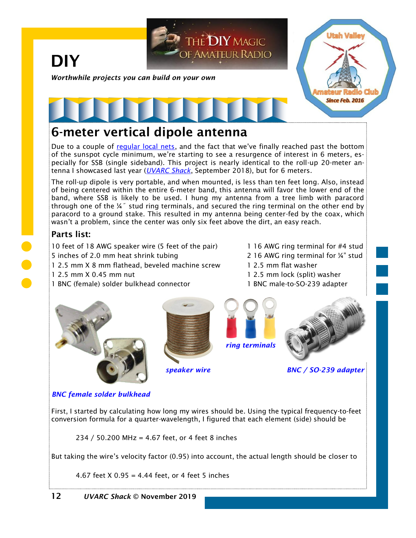

## **6-meter vertical dipole antenna**

Due to a couple of [regular local nets](https://noji.com/hamradio/hamnets.php#special_nets), and the fact that we've finally reached past the bottom of the sunspot cycle minimum, we're starting to see a resurgence of interest in 6 meters, especially for SSB (single sideband). This project is nearly identical to the roll-up 20-meter antenna I showcased last year (*[UVARC Shack](https://noji.com/hamradio/uvarc/shack/UVARC-Shack-1809.pdf)*, September 2018), but for 6 meters.

The roll-up dipole is very portable, and when mounted, is less than ten feet long. Also, instead of being centered within the entire 6-meter band, this antenna will favor the lower end of the band, where SSB is likely to be used. I hung my antenna from a tree limb with paracord through one of the ¼˝ stud ring terminals, and secured the ring terminal on the other end by paracord to a ground stake. This resulted in my antenna being center-fed by the coax, which wasn't a problem, since the center was only six feet above the dirt, an easy reach.

#### **Parts list:**

10 feet of 18 AWG speaker wire (5 feet of the pair) 1 16 AWG ring terminal for #4 stud 5 inches of 2.0 mm heat shrink tubing 2 16 AWG ring terminal for 1/4" stud

- 1 2.5 mm X 8 mm flathead, beveled machine screw 1 2.5 mm flat washer
- 
- 1 BNC (female) solder bulkhead connector 1 BNC male-to-SO-239 adapter
- 
- 
- 1 2.5 mm X 0.45 mm nut 1 2.5 mm lock (split) washer
	-











*BNC female solder bulkhead*

First, I started by calculating how long my wires should be. Using the typical frequency-to-feet conversion formula for a quarter-wavelength, I figured that each element (side) should be

234 / 50.200 MHz = 4.67 feet, or 4 feet 8 inches

But taking the wire's velocity factor (0.95) into account, the actual length should be closer to

4.67 feet X 0.95 = 4.44 feet, or 4 feet 5 inches